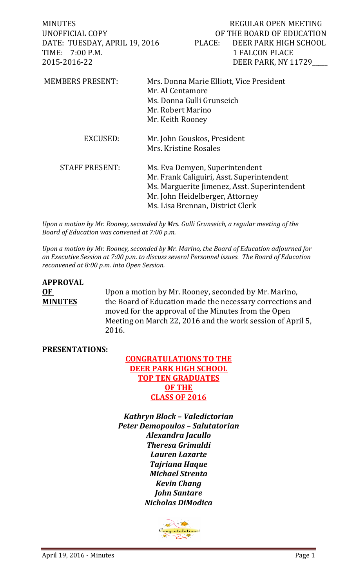| <b>MINUTES</b>                                 |                                 |                                              | REGULAR OPEN MEETING                     |
|------------------------------------------------|---------------------------------|----------------------------------------------|------------------------------------------|
| UNOFFICIAL COPY                                |                                 |                                              | OF THE BOARD OF EDUCATION                |
| DATE: TUESDAY, APRIL 19, 2016                  |                                 | PLACE:                                       | DEER PARK HIGH SCHOOL                    |
| TIME: 7:00 P.M.                                |                                 |                                              | <b>1 FALCON PLACE</b>                    |
| 2015-2016-22                                   |                                 |                                              | DEER PARK, NY 11729                      |
| <b>MEMBERS PRESENT:</b>                        |                                 | Mr. Al Centamore                             | Mrs. Donna Marie Elliott, Vice President |
| Ms. Donna Gulli Grunseich<br>Mr. Robert Marino |                                 |                                              |                                          |
|                                                |                                 |                                              |                                          |
|                                                |                                 | Mr. Keith Rooney                             |                                          |
| EXCUSED:                                       |                                 | Mr. John Gouskos, President                  |                                          |
|                                                |                                 | Mrs. Kristine Rosales                        |                                          |
| <b>STAFF PRESENT:</b>                          |                                 | Ms. Eva Demyen, Superintendent               |                                          |
|                                                |                                 | Mr. Frank Caliguiri, Asst. Superintendent    |                                          |
|                                                |                                 | Ms. Marguerite Jimenez, Asst. Superintendent |                                          |
|                                                | Mr. John Heidelberger, Attorney |                                              |                                          |
|                                                |                                 | Ms. Lisa Brennan, District Clerk             |                                          |

Upon a motion by Mr. Rooney, seconded by Mrs. Gulli Grunseich, a regular meeting of the *Board of Education was convened at 7:00 p.m.* 

*Upon a motion by Mr. Rooney, seconded by Mr. Marino, the Board of Education adjourned for* an Executive Session at 7:00 p.m. to discuss several Personnel issues. The Board of Education *reconvened at 8:00 p.m. into Open Session.* 

| <b>APPROVAL</b> |                                                                                                                  |
|-----------------|------------------------------------------------------------------------------------------------------------------|
| 0F              | Upon a motion by Mr. Rooney, seconded by Mr. Marino,                                                             |
| <b>MINUTES</b>  | the Board of Education made the necessary corrections and<br>moved for the approval of the Minutes from the Open |
|                 | Meeting on March 22, 2016 and the work session of April 5,                                                       |
|                 | 2016.                                                                                                            |

## **PRESENTATIONS:**

## **CONGRATULATIONS TO THE DEER PARK HIGH SCHOOL TOP TEN GRADUATES OF THE CLASS OF 2016**

*Kathryn Block – Valedictorian Peter Demopoulos – Salutatorian Alexandra Jacullo Theresa Grimaldi Lauren Lazarte Tajriana Haque Michael Strenta Kevin Chang John Santare Nicholas DiModica*

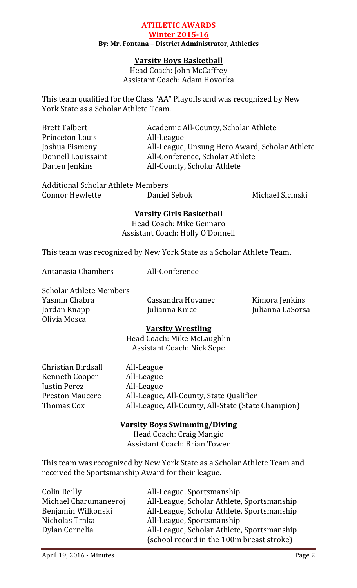## **ATHLETIC AWARDS Winter 2015-16 By: Mr. Fontana – District Administrator, Athletics**

## **Varsity Boys Basketball**

Head Coach: John McCaffrey Assistant Coach: Adam Hovorka

This team qualified for the Class "AA" Playoffs and was recognized by New York State as a Scholar Athlete Team.

| Brett Talbert      | Academic All-County, Scholar Athlete           |
|--------------------|------------------------------------------------|
| Princeton Louis    | All-League                                     |
| Joshua Pismeny     | All-League, Unsung Hero Award, Scholar Athlete |
| Donnell Louissaint | All-Conference, Scholar Athlete                |
| Darien Jenkins     | All-County, Scholar Athlete                    |
|                    |                                                |

**Additional Scholar Athlete Members** 

Connor Hewlette **Daniel Sebok** Michael Sicinski

## **Varsity Girls Basketball**

Head Coach: Mike Gennaro Assistant Coach: Holly O'Donnell

This team was recognized by New York State as a Scholar Athlete Team.

Antanasia Chambers All-Conference

Scholar Athlete Members

Yasmin Chabra **Cassandra Hovanec** Kimora Jenkins Jordan Knapp Julianna Knice Julianna LaSorsa Olivia Mosca

## **Varsity Wrestling**

Head Coach: Mike McLaughlin Assistant Coach: Nick Sepe

| Christian Birdsall     | All-League                                         |
|------------------------|----------------------------------------------------|
| <b>Kenneth Cooper</b>  | All-League                                         |
| Justin Perez           | All-League                                         |
| <b>Preston Maucere</b> | All-League, All-County, State Qualifier            |
| Thomas Cox             | All-League, All-County, All-State (State Champion) |
|                        |                                                    |

## **Varsity Boys Swimming/Diving**

Head Coach: Craig Mangio Assistant Coach: Brian Tower

This team was recognized by New York State as a Scholar Athlete Team and received the Sportsmanship Award for their league.

| Colin Reilly          | All-League, Sportsmanship                  |
|-----------------------|--------------------------------------------|
| Michael Charumaneeroj | All-League, Scholar Athlete, Sportsmanship |
| Benjamin Wilkonski    | All-League, Scholar Athlete, Sportsmanship |
| Nicholas Trnka        | All-League, Sportsmanship                  |
| Dylan Cornelia        | All-League, Scholar Athlete, Sportsmanship |
|                       | (school record in the 100m breast stroke)  |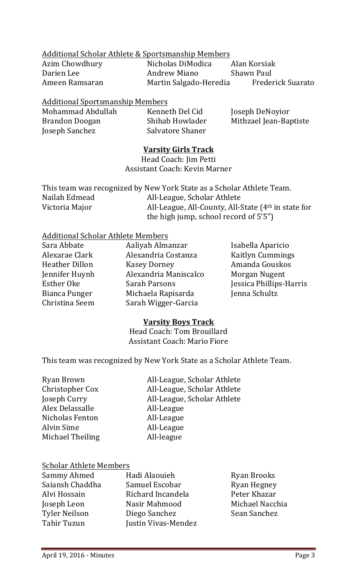## Additional Scholar Athlete & Sportsmanship Members

Azim Chowdhury **Nicholas DiModica** Alan Korsiak Darien Lee **Andrew Miano** Shawn Paul Ameen Ramsaran Martin Salgado-Heredia Frederick Suarato

## **Additional Sportsmanship Members**

| Mohammad Abdullah | Kenneth Del Cid  | Joseph DeNoyior        |
|-------------------|------------------|------------------------|
| Brandon Doogan    | Shihab Howlader  | Mithzael Jean-Baptiste |
| Joseph Sanchez    | Salvatore Shaner |                        |

## **Varsity Girls Track**

Head Coach: Jim Petti Assistant Coach: Kevin Marner

|                | This team was recognized by New York State as a Scholar Athlete Team. |
|----------------|-----------------------------------------------------------------------|
| Nailah Edmead  | All-League, Scholar Athlete                                           |
| Victoria Major | All-League, All-County, All-State $(4th$ in state for                 |
|                | the high jump, school record of 5'5")                                 |

## Additional Scholar Athlete Members

| Aaliyah Almanzar      | Isabella Aparicio       |
|-----------------------|-------------------------|
| Alexandria Costanza   | <b>Kaitlyn Cummings</b> |
| <b>Kasey Dorney</b>   | Amanda Gouskos          |
| Alexandria Maniscalco | Morgan Nugent           |
| <b>Sarah Parsons</b>  | Jessica Phillips-Harris |
| Michaela Rapisarda    | Jenna Schultz           |
| Sarah Wigger-Garcia   |                         |
|                       |                         |

## **Varsity Boys Track**

Head Coach: Tom Brouillard Assistant Coach: Mario Fiore

This team was recognized by New York State as a Scholar Athlete Team.

| Ryan Brown       | All-League, Scholar Athlete |
|------------------|-----------------------------|
| Christopher Cox  | All-League, Scholar Athlete |
| Joseph Curry     | All-League, Scholar Athlete |
| Alex Delassalle  | All-League                  |
| Nicholas Fenton  | All-League                  |
| Alvin Sime       | All-League                  |
| Michael Theiling | All-league                  |

## Scholar Athlete Members

| Hadi Alaouieh              | <b>Ryan Brooks</b> |
|----------------------------|--------------------|
| Samuel Escobar             | <b>Ryan Hegney</b> |
| Richard Incandela          | Peter Khazar       |
| Nasir Mahmood              | Michael Nacchia    |
| Diego Sanchez              | Sean Sanchez       |
| <b>Iustin Vivas-Mendez</b> |                    |
|                            |                    |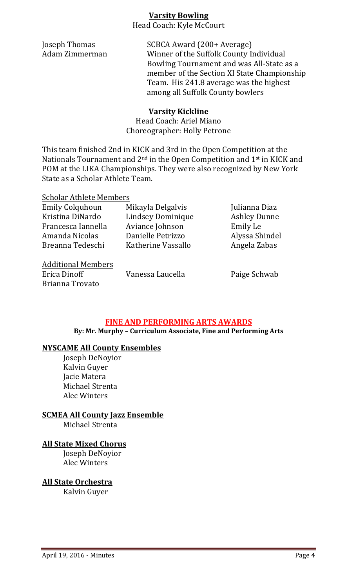## **Varsity Bowling**

Head Coach: Kyle McCourt

**Joseph Thomas** SCBCA Award (200+ Average) Adam Zimmerman Winner of the Suffolk County Individual Bowling Tournament and was All-State as a member of the Section XI State Championship Team. His 241.8 average was the highest among all Suffolk County bowlers

## **Varsity Kickline**

Head Coach: Ariel Miano Choreographer: Holly Petrone

This team finished 2nd in KICK and 3rd in the Open Competition at the Nationals Tournament and  $2^{nd}$  in the Open Competition and  $1^{st}$  in KICK and POM at the LIKA Championships. They were also recognized by New York State as a Scholar Athlete Team.

| <b>Scholar Athlete Members</b> |                    |                     |
|--------------------------------|--------------------|---------------------|
| <b>Emily Colquhoun</b>         | Mikayla Delgalvis  | Julianna Diaz       |
| Kristina DiNardo               | Lindsey Dominique  | <b>Ashley Dunne</b> |
| Francesca Iannella             | Aviance Johnson    | Emily Le            |
| Amanda Nicolas                 | Danielle Petrizzo  | Alyssa Shindel      |
| Breanna Tedeschi               | Katherine Vassallo | Angela Zabas        |
|                                |                    |                     |

Additional Members Erica Dinoff **Vanessa Laucella** Paige Schwab Brianna Trovato

## **FINE AND PERFORMING ARTS AWARDS**

By: Mr. Murphy - Curriculum Associate, Fine and Performing Arts

## **NYSCAME All County Ensembles**

Joseph DeNoyior Kalvin Guyer Jacie Matera Michael Strenta Alec Winters

**SCMEA All County Jazz Ensemble** 

Michael Strenta

## **All State Mixed Chorus**

Joseph DeNoyior Alec Winters

**All State Orchestra**

Kalvin Guyer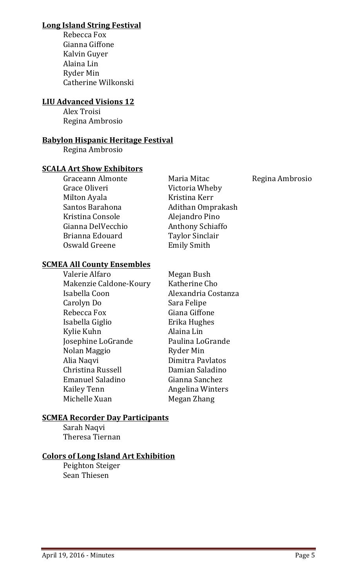## **Long Island String Festival**

Rebecca Fox Gianna Giffone Kalvin Guyer Alaina Lin Ryder Min Catherine Wilkonski

## **LIU Advanced Visions 12**

Alex Troisi Regina Ambrosio

## **Babylon Hispanic Heritage Festival**

Regina Ambrosio

## **SCALA Art Show Exhibitors**

Graceann Almonte **Maria Mitac** Regina Ambrosio Grace Oliveri **Victoria** Wheby Milton Ayala Kristina Kerr Santos Barahona **Adithan** Omprakash Kristina Console **Alejandro** Pino Gianna DelVecchio **Anthony Schiaffo** Brianna Edouard Taylor Sinclair Oswald Greene **Emily Smith** 

## **SCMEA All County Ensembles**

Valerie Alfaro Megan Bush Makenzie Caldone-Koury Katherine Cho Isabella Coon Alexandria Costanza Carolyn Do Sara Felipe Rebecca Fox Giana Giffone Isabella Giglio **Erika Hughes** Kylie Kuhn **Alaina** Lin Josephine LoGrande Paulina LoGrande Nolan Maggio Ryder Min Alia Naqvi **Dimitra Pavlatos** Christina Russell **Damian Saladino** Emanuel Saladino Gianna Sanchez Kailey Tenn **Angelina Winters** Michelle Xuan Megan Zhang

## **SCMEA Recorder Day Participants**

Sarah Naqvi Theresa Tiernan

## **Colors of Long Island Art Exhibition**

Peighton Steiger Sean Thiesen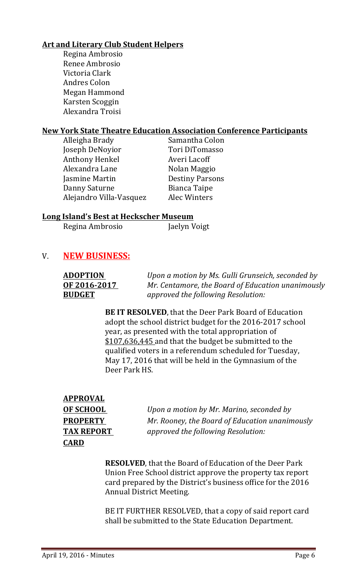## **Art and Literary Club Student Helpers**

Regina Ambrosio Renee Ambrosio Victoria Clark Andres Colon Megan Hammond Karsten Scoggin Alexandra Troisi

## **New York State Theatre Education Association Conference Participants**

| Alleigha Brady          | Samantha Colon         |
|-------------------------|------------------------|
| Joseph DeNoyior         | Tori DiTomasso         |
| <b>Anthony Henkel</b>   | Averi Lacoff           |
| Alexandra Lane          | Nolan Maggio           |
| Jasmine Martin          | <b>Destiny Parsons</b> |
| Danny Saturne           | <b>Bianca Taipe</b>    |
| Alejandro Villa-Vasquez | Alec Winters           |
|                         |                        |

## **Long Island's Best at Heckscher Museum**

| Regina Ambrosio | Jaelyn Voigt |
|-----------------|--------------|
|                 |              |

## V. **NEW BUSINESS:**

| <b>ADOPTION</b> | Upon a motion by Ms. Gulli Grunseich, seconded by |
|-----------------|---------------------------------------------------|
| OF 2016-2017    | Mr. Centamore, the Board of Education unanimously |
| <b>BUDGET</b>   | approved the following Resolution:                |

**BE IT RESOLVED**, that the Deer Park Board of Education adopt the school district budget for the 2016-2017 school year, as presented with the total appropriation of \$107,636,445 and that the budget be submitted to the qualified voters in a referendum scheduled for Tuesday, May 17, 2016 that will be held in the Gymnasium of the Deer Park HS.

| <b>APPROVAL</b>   |
|-------------------|
| <b>OF SCHOOL</b>  |
| <b>PROPERTY</b>   |
| <b>TAX REPORT</b> |
| <b>CARD</b>       |

*Upon a motion by Mr. Marino, seconded by Mr. Rooney, the Board of Education unanimously* approved the following Resolution:

**RESOLVED**, that the Board of Education of the Deer Park Union Free School district approve the property tax report card prepared by the District's business office for the 2016 Annual District Meeting.

BE IT FURTHER RESOLVED, that a copy of said report card shall be submitted to the State Education Department.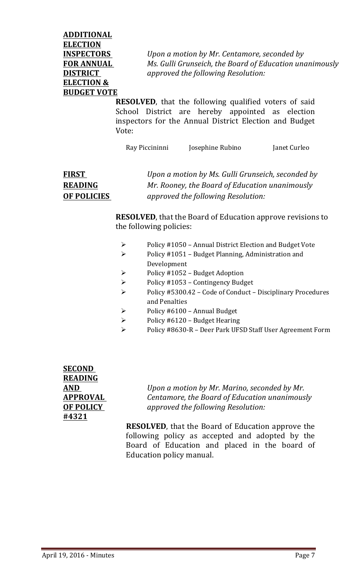**ADDITIONAL ELECTION ELECTION & BUDGET VOTE** 

**INSPECTORS** *Upon a motion by Mr. Centamore, seconded by* **FOR ANNUAL** *Ms. Gulli Grunseich, the Board of Education unanimously* **DISTRICT** *approved the following Resolution:* 

> **RESOLVED**, that the following qualified voters of said School District are hereby appointed as election inspectors for the Annual District Election and Budget Vote:

Ray Piccininni Josephine Rubino Janet Curleo

# **FIRST** *Upon a motion by Ms. Gulli Grunseich, seconded by* **READING** *Mr. Rooney, the Board of Education unanimously* **OF POLICIES** *approved the following Resolution:*

**RESOLVED**, that the Board of Education approve revisions to the following policies:

- $\triangleright$  Policy #1050 Annual District Election and Budget Vote
- $\triangleright$  Policy #1051 Budget Planning, Administration and Development
- $\triangleright$  Policy #1052 Budget Adoption
- $\triangleright$  Policy #1053 Contingency Budget
- $\triangleright$  Policy #5300.42 Code of Conduct Disciplinary Procedures and Penalties
- $\triangleright$  Policy #6100 Annual Budget
- $\triangleright$  Policy #6120 Budget Hearing
- Policy #8630-R Deer Park UFSD Staff User Agreement Form

**SECOND READING #4321**

**AND** *Upon a motion by Mr. Marino, seconded by Mr.* **APPROVAL** *Centamore, the Board of Education unanimously* **OF POLICY** *approved the following Resolution:* 

> **RESOLVED**, that the Board of Education approve the following policy as accepted and adopted by the Board of Education and placed in the board of Education policy manual.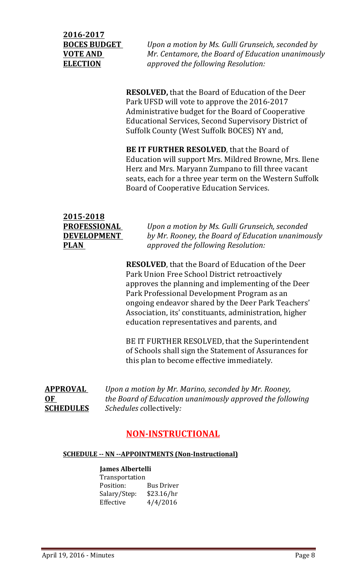**2016-2017**

**BOCES BUDGET** *Upon a motion by Ms. Gulli Grunseich, seconded by* **VOTE AND** *Mr. Centamore, the Board of Education unanimously* **ELECTION** *approved the following Resolution:* 

> **RESOLVED**, that the Board of Education of the Deer Park UFSD will vote to approve the 2016-2017 Administrative budget for the Board of Cooperative Educational Services, Second Supervisory District of Suffolk County (West Suffolk BOCES) NY and,

**BE IT FURTHER RESOLVED**, that the Board of Education will support Mrs. Mildred Browne, Mrs. Ilene Herz and Mrs. Maryann Zumpano to fill three vacant seats, each for a three year term on the Western Suffolk Board of Cooperative Education Services.

| 2015-2018           |                                                   |
|---------------------|---------------------------------------------------|
| <b>PROFESSIONAL</b> | Upon a motion by Ms. Gulli Grunseich, seconded    |
| <b>DEVELOPMENT</b>  | by Mr. Rooney, the Board of Education unanimously |
| <b>PLAN</b>         | approved the following Resolution:                |

**RESOLVED**, that the Board of Education of the Deer Park Union Free School District retroactively approves the planning and implementing of the Deer Park Professional Development Program as an ongoing endeavor shared by the Deer Park Teachers' Association, its' constituants, administration, higher education representatives and parents, and

BE IT FURTHER RESOLVED, that the Superintendent of Schools shall sign the Statement of Assurances for this plan to become effective immediately.

**APPROVAL**  *Upon a motion by Mr. Marino, seconded by Mr. Rooney,* **OF** *the Board of Education unanimously approved the following* **SCHEDULES** *Schedules collectively:* 

# **NON-INSTRUCTIONAL**

## **SCHEDULE -- NN --APPOINTMENTS (Non-Instructional)**

## **James Albertelli**

| <b>Transportation</b> |                   |
|-----------------------|-------------------|
| Position:             | <b>Bus Driver</b> |
| Salary/Step:          | \$23.16/hr        |
| Effective             | 4/4/2016          |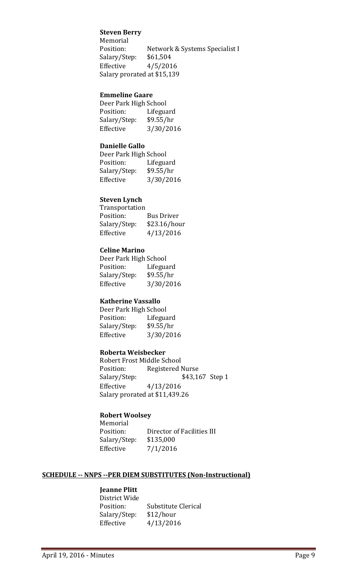### **Steven Berry**

Memorial Position: Network & Systems Specialist I Salary/Step: \$61,504 Effective  $4/5/2016$ Salary prorated at \$15,139

#### **Emmeline Gaare**

| Deer Park High School |           |
|-----------------------|-----------|
| Position:             | Lifeguard |
| Salary/Step:          | \$9.55/hr |
| Effective             | 3/30/2016 |

### **Danielle Gallo**

| Deer Park High School |           |
|-----------------------|-----------|
| Position:             | Lifeguard |
| Salary/Step:          | \$9.55/hr |
| Effective             | 3/30/2016 |

#### **Steven Lynch**

| Bus Driver   |
|--------------|
| \$23.16/hour |
| 4/13/2016    |
|              |

#### **Celine Marino**

Deer Park High School Position: Lifeguard Salary/Step: \$9.55/hr Effective 3/30/2016

### **Katherine Vassallo**

Deer Park High School Position: Lifeguard Salary/Step: \$9.55/hr Effective 3/30/2016

#### **Roberta Weisbecker**

Robert Frost Middle School Position: Registered Nurse Salary/Step: \$43,167 Step 1 Effective 4/13/2016 Salary prorated at \$11,439.26

#### **Robert Woolsey**

Memorial Position: Director of Facilities III Salary/Step: \$135,000 Effective  $7/1/2016$ 

#### **SCHEDULE -- NNPS --PER DIEM SUBSTITUTES (Non-Instructional)**

## **Jeanne Plitt**

| District Wide |                     |
|---------------|---------------------|
| Position:     | Substitute Clerical |
| Salary/Step:  | \$12/hour           |
| Effective     | 4/13/2016           |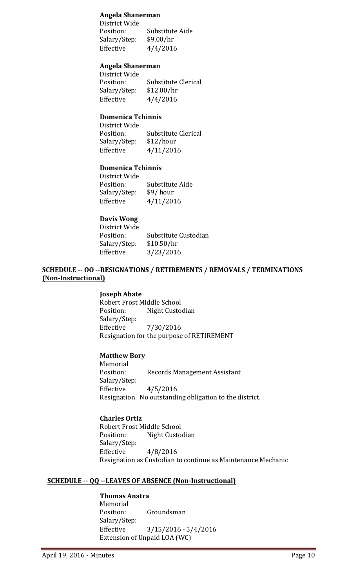#### **Angela Shanerman**

District Wide Position: Substitute Aide Salary/Step: \$9.00/hr Effective  $4/4/2016$ 

#### **Angela Shanerman**

District Wide Position: Substitute Clerical Salary/Step: \$12.00/hr Effective  $4/4/2016$ 

## **Domenica Tchinnis**

District Wide Position: Substitute Clerical Salary/Step: \$12/hour Effective 4/11/2016

#### **Domenica Tchinnis**

District Wide Position: Substitute Aide Salary/Step: \$9/ hour Effective 4/11/2016

### **Davis Wong**

District Wide Position: Substitute Custodian Salary/Step: \$10.50/hr Effective 3/23/2016

### **SCHEDULE -- OO --RESIGNATIONS / RETIREMENTS / REMOVALS / TERMINATIONS (Non-Instructional)**

#### **Joseph Abate**

Robert Frost Middle School Position: Night Custodian Salary/Step: Effective 7/30/2016 Resignation for the purpose of RETIREMENT

#### **Matthew Bory**

Memorial Position: Records Management Assistant Salary/Step: Effective  $4/5/2016$ Resignation. No outstanding obligation to the district.

**Charles Ortiz** Robert Frost Middle School Position: Night Custodian Salary/Step: Effective  $4/8/2016$ Resignation as Custodian to continue as Maintenance Mechanic

#### **SCHEDULE -- QQ --LEAVES OF ABSENCE (Non-Instructional)**

### **Thomas Anatra**

Memorial Position: Groundsman Salary/Step: Effective 3/15/2016 - 5/4/2016 Extension of Unpaid LOA (WC)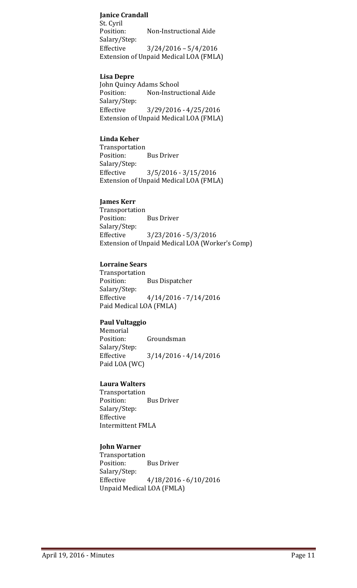## **Janice Crandall**

St. Cyril Position: Non-Instructional Aide Salary/Step: Effective  $3/24/2016 - 5/4/2016$ Extension of Unpaid Medical LOA (FMLA)

#### **Lisa Depre**

John Quincy Adams School Position: Non-Instructional Aide Salary/Step: Effective 3/29/2016 - 4/25/2016 Extension of Unpaid Medical LOA (FMLA)

### **Linda Keher**

Transportation Position: Bus Driver Salary/Step: Effective 3/5/2016 - 3/15/2016 Extension of Unpaid Medical LOA (FMLA)

#### **James Kerr**

Transportation Position: Bus Driver Salary/Step: Effective 3/23/2016 - 5/3/2016 Extension of Unpaid Medical LOA (Worker's Comp)

#### **Lorraine Sears**

Transportation Position: Bus Dispatcher Salary/Step: Effective  $4/14/2016 - 7/14/2016$ Paid Medical LOA (FMLA)

#### **Paul Vultaggio**

Memorial Position: Groundsman Salary/Step: Effective 3/14/2016 - 4/14/2016 Paid LOA (WC)

#### **Laura Walters**

Transportation Position: Bus Driver Salary/Step: Effective Intermittent FMLA

## **John Warner**

Transportation Position: Bus Driver Salary/Step: Effective  $4/18/2016 - 6/10/2016$ Unpaid Medical LOA (FMLA)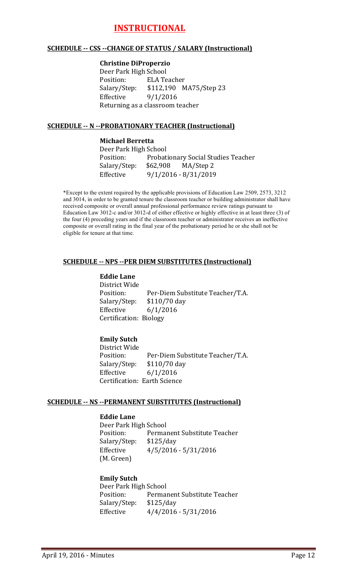# **INSTRUCTIONAL**

#### **SCHEDULE -- CSS --CHANGE OF STATUS / SALARY (Instructional)**

#### **Christine DiProperzio**

Deer Park High School Position: ELA Teacher Salary/Step: \$112,190 MA75/Step 23 Effective  $9/1/2016$ Returning as a classroom teacher

### **SCHEDULE -- N --PROBATIONARY TEACHER (Instructional)**

#### **Michael Berretta**

Deer Park High School Position: Probationary Social Studies Teacher Salary/Step: \$62,908 MA/Step 2 Effective 9/1/2016 - 8/31/2019

\*Except to the extent required by the applicable provisions of Education Law 2509, 2573, 3212 and 3014, in order to be granted tenure the classroom teacher or building administrator shall have received composite or overall annual professional performance review ratings pursuant to Education Law 3012-c and/or 3012-d of either effective or highly effective in at least three (3) of the four (4) preceding years and if the classroom teacher or administrator receives an ineffective composite or overall rating in the final year of the probationary period he or she shall not be eligible for tenure at that time.

## **SCHEDULE -- NPS --PER DIEM SUBSTITUTES (Instructional)**

#### **Eddie Lane**

District Wide Position: Per-Diem Substitute Teacher/T.A. Salary/Step: \$110/70 day Effective  $6/1/2016$ Certification: Biology

## **Emily Sutch**

District Wide Position: Per-Diem Substitute Teacher/T.A. Salary/Step: \$110/70 day Effective 6/1/2016 Certification: Earth Science

#### **SCHEDULE -- NS --PERMANENT SUBSTITUTES (Instructional)**

#### **Eddie Lane**

Deer Park High School Position: Permanent Substitute Teacher Salary/Step: \$125/day Effective  $4/5/2016 - 5/31/2016$ (M. Green)

## **Emily Sutch**

Deer Park High School Position: Permanent Substitute Teacher Salary/Step: \$125/day Effective  $4/4/2016 - 5/31/2016$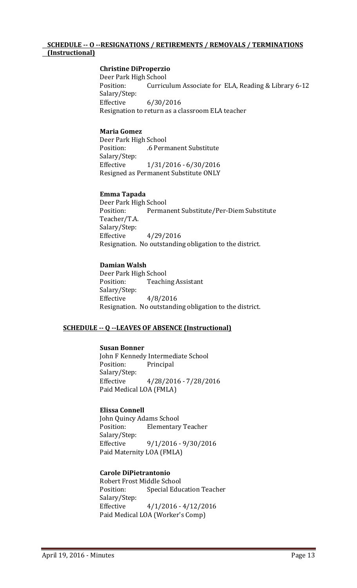#### **SCHEDULE -- O --RESIGNATIONS / RETIREMENTS / REMOVALS / TERMINATIONS (Instructional)**

#### **Christine DiProperzio**

Deer Park High School Position: Curriculum Associate for ELA, Reading & Library 6-12 Salary/Step: Effective 6/30/2016 Resignation to return as a classroom ELA teacher

#### **Maria Gomez**

Deer Park High School Position: .6 Permanent Substitute Salary/Step: Effective 1/31/2016 - 6/30/2016 Resigned as Permanent Substitute ONLY

#### **Emma Tapada**

Deer Park High School Position: Permanent Substitute/Per-Diem Substitute Teacher/T.A. Salary/Step: Effective 4/29/2016 Resignation. No outstanding obligation to the district.

#### **Damian Walsh**

Deer Park High School Position: Teaching Assistant Salary/Step: Effective  $4/8/2016$ Resignation. No outstanding obligation to the district.

#### **SCHEDULE -- Q --LEAVES OF ABSENCE (Instructional)**

#### **Susan Bonner**

John F Kennedy Intermediate School Position: Principal Salary/Step: Effective 4/28/2016 - 7/28/2016 Paid Medical LOA (FMLA)

#### **Elissa Connell**

John Quincy Adams School Position: Elementary Teacher Salary/Step: Effective 9/1/2016 - 9/30/2016 Paid Maternity LOA (FMLA)

#### **Carole DiPietrantonio**

Robert Frost Middle School Position: Special Education Teacher Salary/Step: Effective  $4/1/2016 - 4/12/2016$ Paid Medical LOA (Worker's Comp)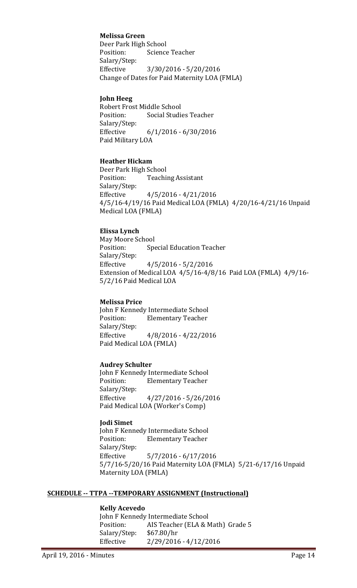### **Melissa Green**

Deer Park High School Position: Science Teacher Salary/Step: Effective 3/30/2016 - 5/20/2016 Change of Dates for Paid Maternity LOA (FMLA)

#### **John Heeg**

Robert Frost Middle School Position: Social Studies Teacher Salary/Step: Effective 6/1/2016 - 6/30/2016 Paid Military LOA

#### **Heather Hickam**

Deer Park High School Position: Teaching Assistant Salary/Step: Effective  $4/5/2016 - 4/21/2016$ 4/5/16-4/19/16 Paid Medical LOA (FMLA) 4/20/16-4/21/16 Unpaid Medical LOA (FMLA)

#### **Elissa Lynch**

May Moore School Position: Special Education Teacher Salary/Step: Effective  $4/5/2016 - 5/2/2016$ Extension of Medical LOA  $4/5/16$ -4/8/16 Paid LOA (FMLA)  $4/9/16$ -5/2/16 Paid Medical LOA

#### **Melissa Price**

John F Kennedy Intermediate School Position: Elementary Teacher Salary/Step: Effective 4/8/2016 - 4/22/2016 Paid Medical LOA (FMLA)

#### **Audrey Schulter**

John F Kennedy Intermediate School Position: Elementary Teacher Salary/Step: Effective  $4/27/2016 - 5/26/2016$ Paid Medical LOA (Worker's Comp)

#### **Jodi Simet**

John F Kennedy Intermediate School Position: Elementary Teacher Salary/Step: Effective 5/7/2016 - 6/17/2016 5/7/16-5/20/16 Paid Maternity LOA (FMLA) 5/21-6/17/16 Unpaid Maternity LOA (FMLA)

#### **SCHEDULE -- TTPA --TEMPORARY ASSIGNMENT (Instructional)**

#### **Kelly Acevedo**

John F Kennedy Intermediate School Position: AIS Teacher (ELA & Math) Grade 5 Salary/Step: \$67.80/hr Effective 2/29/2016 - 4/12/2016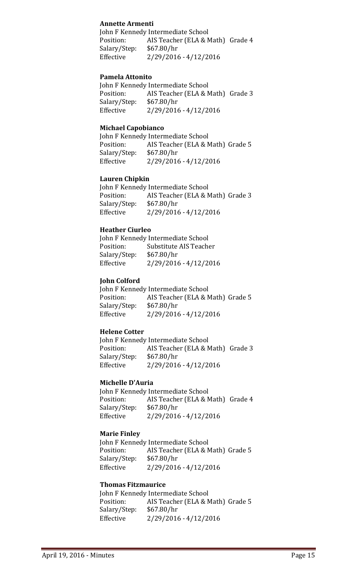### **Annette Armenti**

John F Kennedy Intermediate School Position: AIS Teacher (ELA & Math) Grade 4 Salary/Step: \$67.80/hr Effective 2/29/2016 - 4/12/2016

#### **Pamela Attonito**

John F Kennedy Intermediate School Position: AIS Teacher (ELA & Math) Grade 3 Salary/Step: \$67.80/hr Effective 2/29/2016 - 4/12/2016

#### **Michael Capobianco**

John F Kennedy Intermediate School Position: AIS Teacher (ELA & Math) Grade 5 Salary/Step: \$67.80/hr Effective 2/29/2016 - 4/12/2016

#### **Lauren Chipkin**

John F Kennedy Intermediate School Position: AIS Teacher (ELA & Math) Grade 3 Salary/Step: \$67.80/hr Effective 2/29/2016 - 4/12/2016

#### **Heather Ciurleo**

|              | John F Kennedy Intermediate School |
|--------------|------------------------------------|
| Position:    | Substitute AIS Teacher             |
| Salary/Step: | \$67.80/hr                         |
| Effective    | 2/29/2016 - 4/12/2016              |

## **John Colford**

John F Kennedy Intermediate School Position: AIS Teacher (ELA & Math) Grade 5 Salary/Step: \$67.80/hr Effective 2/29/2016 - 4/12/2016

## **Helene Cotter**

John F Kennedy Intermediate School Position: AIS Teacher (ELA & Math) Grade 3 Salary/Step: \$67.80/hr Effective 2/29/2016 - 4/12/2016

## **Michelle D'Auria**

John F Kennedy Intermediate School Position: AIS Teacher (ELA & Math) Grade 4 Salary/Step: \$67.80/hr Effective 2/29/2016 - 4/12/2016

## **Marie Finley**

John F Kennedy Intermediate School Position: AIS Teacher (ELA & Math) Grade 5 Salary/Step: \$67.80/hr Effective 2/29/2016 - 4/12/2016

#### **Thomas Fitzmaurice**

John F Kennedy Intermediate School Position: AIS Teacher (ELA & Math) Grade 5 Salary/Step: \$67.80/hr Effective 2/29/2016 - 4/12/2016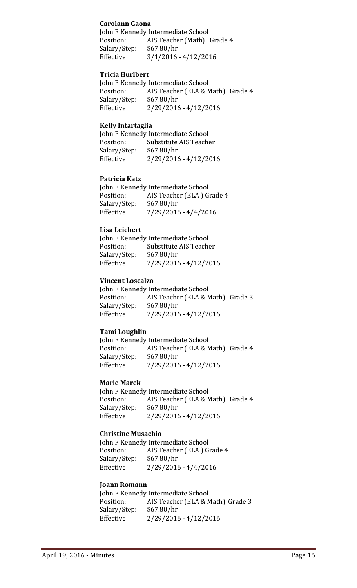### **Carolann Gaona**

John F Kennedy Intermediate School Position: AIS Teacher (Math) Grade 4 Salary/Step: \$67.80/hr Effective  $3/1/2016 - 4/12/2016$ 

#### **Tricia Hurlbert**

John F Kennedy Intermediate School Position: AIS Teacher (ELA & Math) Grade 4 Salary/Step: \$67.80/hr Effective 2/29/2016 - 4/12/2016

#### **Kelly Intartaglia**

|              | John F Kennedy Intermediate School |
|--------------|------------------------------------|
| Position:    | Substitute AIS Teacher             |
| Salary/Step: | \$67.80/hr                         |
| Effective    | 2/29/2016 - 4/12/2016              |

#### **Patricia Katz**

John F Kennedy Intermediate School Position: AIS Teacher (ELA) Grade 4 Salary/Step: \$67.80/hr Effective 2/29/2016 - 4/4/2016

#### **Lisa Leichert**

|              | John F Kennedy Intermediate School |
|--------------|------------------------------------|
| Position:    | Substitute AIS Teacher             |
| Salary/Step: | \$67.80/hr                         |
| Effective    | 2/29/2016 - 4/12/2016              |

#### **Vincent Loscalzo**

John F Kennedy Intermediate School Position: AIS Teacher (ELA & Math) Grade 3 Salary/Step: \$67.80/hr Effective 2/29/2016 - 4/12/2016

## **Tami Loughlin**

John F Kennedy Intermediate School Position: AIS Teacher (ELA & Math) Grade 4 Salary/Step: \$67.80/hr Effective 2/29/2016 - 4/12/2016

#### **Marie Marck**

John F Kennedy Intermediate School Position: AIS Teacher (ELA & Math) Grade 4 Salary/Step: \$67.80/hr Effective 2/29/2016 - 4/12/2016

## **Christine Musachio**

John F Kennedy Intermediate School Position: AIS Teacher (ELA) Grade 4 Salary/Step: \$67.80/hr Effective 2/29/2016 - 4/4/2016

#### **Joann Romann**

John F Kennedy Intermediate School Position: AIS Teacher (ELA & Math) Grade 3 Salary/Step: \$67.80/hr Effective 2/29/2016 - 4/12/2016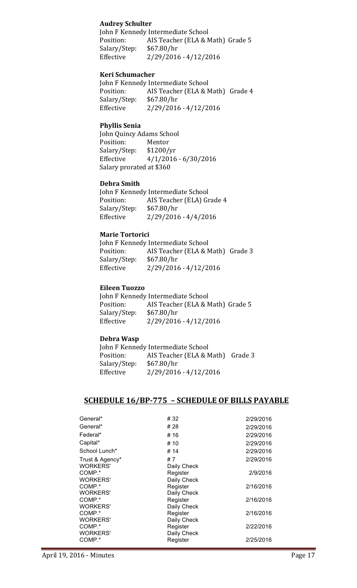### **Audrey Schulter**

John F Kennedy Intermediate School Position: AIS Teacher (ELA & Math) Grade 5 Salary/Step: \$67.80/hr Effective 2/29/2016 - 4/12/2016

#### **Keri Schumacher**

John F Kennedy Intermediate School Position: AIS Teacher (ELA & Math) Grade 4 Salary/Step: \$67.80/hr Effective 2/29/2016 - 4/12/2016

#### **Phyllis Senia**

John Quincy Adams School Position: Mentor Salary/Step: \$1200/yr Effective  $4/1/2016 - 6/30/2016$ Salary prorated at \$360

#### **Debra Smith**

John F Kennedy Intermediate School Position: AIS Teacher (ELA) Grade 4 Salary/Step: \$67.80/hr Effective 2/29/2016 - 4/4/2016

## **Marie Tortorici**

John F Kennedy Intermediate School Position: AIS Teacher (ELA & Math) Grade 3 Salary/Step: \$67.80/hr Effective 2/29/2016 - 4/12/2016

#### **Eileen Tuozzo**

John F Kennedy Intermediate School Position: AIS Teacher (ELA & Math) Grade 5 Salary/Step: \$67.80/hr Effective 2/29/2016 - 4/12/2016

## **Debra Wasp**

John F Kennedy Intermediate School Position: AIS Teacher (ELA & Math) Grade 3 Salary/Step: \$67.80/hr Effective 2/29/2016 - 4/12/2016

## **SCHEDULE 16/BP-775 - SCHEDULE OF BILLS PAYABLE**

| General*        | # 32        | 2/29/2016 |
|-----------------|-------------|-----------|
| General*        | # 28        | 2/29/2016 |
| Federal*        | # 16        | 2/29/2016 |
| Capital*        | # 10        | 2/29/2016 |
| School Lunch*   | # 14        | 2/29/2016 |
| Trust & Agency* | #7          | 2/29/2016 |
| <b>WORKERS'</b> | Daily Check |           |
| COMP.*          | Register    | 2/9/2016  |
| WORKERS'        | Daily Check |           |
| COMP.*          | Register    | 2/16/2016 |
| <b>WORKERS'</b> | Daily Check |           |
| COMP.*          | Register    | 2/16/2016 |
| <b>WORKERS'</b> | Daily Check |           |
| COMP.*          | Register    | 2/16/2016 |
| <b>WORKERS'</b> | Daily Check |           |
| COMP.*          | Register    | 2/22/2016 |
| <b>WORKERS'</b> | Daily Check |           |
| COMP.*          | Register    | 2/25/2016 |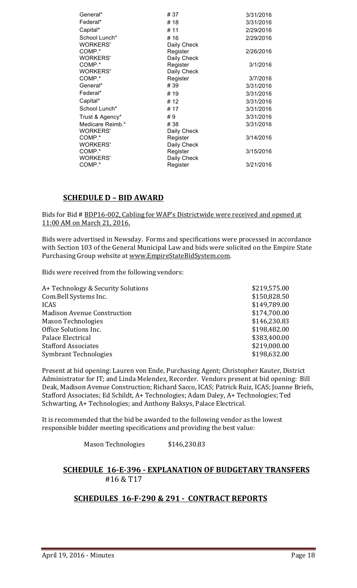| General*         | #37         | 3/31/2016 |
|------------------|-------------|-----------|
| Federal*         | #18         | 3/31/2016 |
| Capital*         | # 11        | 2/29/2016 |
| School Lunch*    | # 16        | 2/29/2016 |
| <b>WORKERS'</b>  | Daily Check |           |
| COMP.*           | Register    | 2/26/2016 |
| <b>WORKERS'</b>  | Daily Check |           |
| COMP.*           | Register    | 3/1/2016  |
| WORKERS'         | Daily Check |           |
| COMP.*           | Register    | 3/7/2016  |
| General*         | # 39        | 3/31/2016 |
| Federal*         | # 19        | 3/31/2016 |
| Capital*         | # 12        | 3/31/2016 |
| School Lunch*    | # 17        | 3/31/2016 |
| Trust & Agency*  | #9          | 3/31/2016 |
| Medicare Reimb.* | # 38        | 3/31/2016 |
| WORKERS'         | Daily Check |           |
| COMP.*           | Register    | 3/14/2016 |
| <b>WORKERS'</b>  | Daily Check |           |
| COMP.*           | Register    | 3/15/2016 |
| <b>WORKERS'</b>  | Daily Check |           |
| COMP.*           | Register    | 3/21/2016 |
|                  |             |           |

## **SCHEDULE D - BID AWARD**

Bids for Bid # BDP16-002, Cabling for WAP's Districtwide were received and opened at 11:00 AM on March 21, 2016.

Bids were advertised in Newsday. Forms and specifications were processed in accordance with Section 103 of the General Municipal Law and bids were solicited on the Empire State Purchasing Group website at www.EmpireStateBidSystem.com.

Bids were received from the following vendors:

| A+ Technology & Security Solutions | \$219,575.00 |
|------------------------------------|--------------|
| Com.Bell Systems Inc.              | \$150,828.50 |
| <b>ICAS</b>                        | \$149,789.00 |
| <b>Madison Avenue Construction</b> | \$174,700.00 |
| <b>Mason Technologies</b>          | \$146,230.83 |
| Office Solutions Inc.              | \$198,482.00 |
| Palace Electrical                  | \$383,400.00 |
| <b>Stafford Associates</b>         | \$219,000.00 |
| <b>Symbrant Technologies</b>       | \$198,632.00 |

Present at bid opening: Lauren von Ende, Purchasing Agent; Christopher Kauter, District Administrator for IT; and Linda Melendez, Recorder. Vendors present at bid opening: Bill Deak, Madison Avenue Construction; Richard Sacco, ICAS; Patrick Ruiz, ICAS; Joanne Briefs, Stafford Associates; Ed Schildt, A+ Technologies; Adam Daley, A+ Technologies; Ted Schwarting, A+ Technologies; and Anthony Baksys, Palace Electrical.

It is recommended that the bid be awarded to the following vendor as the lowest responsible bidder meeting specifications and providing the best value:

Mason Technologies \$146,230.83

## **SCHEDULE 16-E-396 - EXPLANATION OF BUDGETARY TRANSFERS** #16 & T17

## **SCHEDULES 16-F-290 & 291 - CONTRACT REPORTS**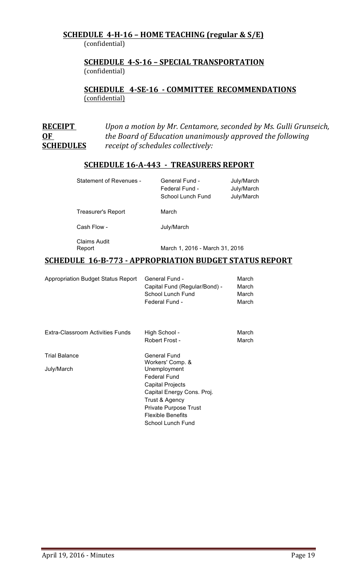## **SCHEDULE 4-H-16 – HOME TEACHING (regular & S/E)** (confidential)

## **SCHEDULE 4-S-16 – SPECIAL TRANSPORTATION**  (confidential)

**SCHEDULE 4-SE-16 - COMMITTEE RECOMMENDATIONS** (confidential)

**RECEIPT** *Upon a motion by Mr. Centamore, seconded by Ms. Gulli Grunseich,* **OF** *the Board of Education unanimously approved the following* **SCHEDULES** *receipt of schedules collectively:* 

## **SCHEDULE 16-A-443 - TREASURERS REPORT**

| <b>Statement of Revenues -</b> | General Fund -<br>Federal Fund -<br>School Lunch Fund | July/March<br>July/March<br>July/March |
|--------------------------------|-------------------------------------------------------|----------------------------------------|
| Treasurer's Report             | March                                                 |                                        |
| Cash Flow -                    | July/March                                            |                                        |
| Claims Audit<br>Report         | March 1, 2016 - March 31, 2016                        |                                        |

## **SCHEDULE 16-B-773 - APPROPRIATION BUDGET STATUS REPORT**

| <b>Appropriation Budget Status Report</b> | General Fund -<br>Capital Fund (Regular/Bond) -<br>School Lunch Fund<br>Federal Fund -                                                                                                                                | March<br>March<br>March<br>March |
|-------------------------------------------|-----------------------------------------------------------------------------------------------------------------------------------------------------------------------------------------------------------------------|----------------------------------|
| <b>Extra-Classroom Activities Funds</b>   | High School -<br>Robert Frost -                                                                                                                                                                                       | March<br>March                   |
| <b>Trial Balance</b><br>July/March        | General Fund<br>Workers' Comp. &<br>Unemployment<br><b>Federal Fund</b><br>Capital Projects<br>Capital Energy Cons. Proj.<br>Trust & Agency<br>Private Purpose Trust<br><b>Flexible Benefits</b><br>School Lunch Fund |                                  |